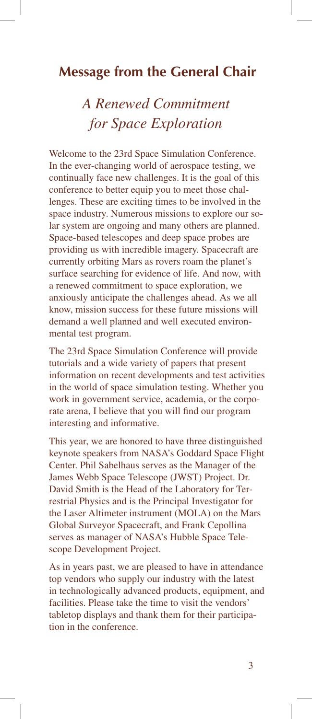# **Message from the General Chair**

# *A Renewed Commitment for Space Exploration*

Welcome to the 23rd Space Simulation Conference. In the ever-changing world of aerospace testing, we continually face new challenges. It is the goal of this conference to better equip you to meet those challenges. These are exciting times to be involved in the space industry. Numerous missions to explore our solar system are ongoing and many others are planned. Space-based telescopes and deep space probes are providing us with incredible imagery. Spacecraft are currently orbiting Mars as rovers roam the planet's surface searching for evidence of life. And now, with a renewed commitment to space exploration, we anxiously anticipate the challenges ahead. As we all know, mission success for these future missions will demand a well planned and well executed environmental test program.

The 23rd Space Simulation Conference will provide tutorials and a wide variety of papers that present information on recent developments and test activities in the world of space simulation testing. Whether you work in government service, academia, or the corporate arena, I believe that you will find our program interesting and informative.

This year, we are honored to have three distinguished keynote speakers from NASA's Goddard Space Flight Center. Phil Sabelhaus serves as the Manager of the James Webb Space Telescope (JWST) Project. Dr. David Smith is the Head of the Laboratory for Terrestrial Physics and is the Principal Investigator for the Laser Altimeter instrument (MOLA) on the Mars Global Surveyor Spacecraft, and Frank Cepollina serves as manager of NASA's Hubble Space Telescope Development Project.

As in years past, we are pleased to have in attendance top vendors who supply our industry with the latest in technologically advanced products, equipment, and facilities. Please take the time to visit the vendors' tabletop displays and thank them for their participation in the conference.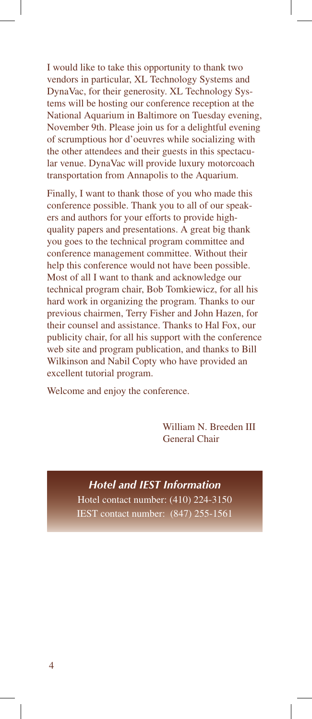I would like to take this opportunity to thank two vendors in particular, XL Technology Systems and DynaVac, for their generosity. XL Technology Systems will be hosting our conference reception at the National Aquarium in Baltimore on Tuesday evening, November 9th. Please join us for a delightful evening of scrumptious hor d'oeuvres while socializing with the other attendees and their guests in this spectacular venue. DynaVac will provide luxury motorcoach transportation from Annapolis to the Aquarium.

Finally, I want to thank those of you who made this conference possible. Thank you to all of our speakers and authors for your efforts to provide highquality papers and presentations. A great big thank you goes to the technical program committee and conference management committee. Without their help this conference would not have been possible. Most of all I want to thank and acknowledge our technical program chair, Bob Tomkiewicz, for all his hard work in organizing the program. Thanks to our previous chairmen, Terry Fisher and John Hazen, for their counsel and assistance. Thanks to Hal Fox, our publicity chair, for all his support with the conference web site and program publication, and thanks to Bill Wilkinson and Nabil Copty who have provided an excellent tutorial program.

Welcome and enjoy the conference.

 William N. Breeden III General Chair

*Hotel and IEST Information* Hotel contact number: (410) 224-3150 IEST contact number: (847) 255-1561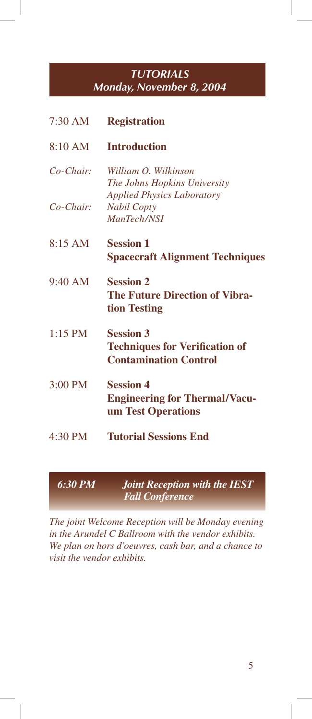### *TUTORIALS Monday, November 8, 2004*

| $7:30$ AM         | <b>Registration</b>                                                                       |
|-------------------|-------------------------------------------------------------------------------------------|
| 8:10 AM           | <b>Introduction</b>                                                                       |
| $Co-Chair$        | William O. Wilkinson<br>The Johns Hopkins University                                      |
| $Co-Chair$        | <b>Applied Physics Laboratory</b><br><b>Nabil Copty</b><br>ManTech/NSI                    |
| 8:15 AM           | <b>Session 1</b><br><b>Spacecraft Alignment Techniques</b>                                |
| $9:40 \text{ AM}$ | <b>Session 2</b><br><b>The Future Direction of Vibra-</b><br>tion Testing                 |
| $1:15$ PM         | <b>Session 3</b><br><b>Techniques for Verification of</b><br><b>Contamination Control</b> |
| 3:00 PM           | <b>Session 4</b><br><b>Engineering for Thermal/Vacu-</b><br>um Test Operations            |
| $4:30$ PM         | <b>Tutorial Sessions End</b>                                                              |

### *6:30 PM Joint Reception with the IEST Fall Conference*

*The joint Welcome Reception will be Monday evening in the Arundel C Ballroom with the vendor exhibits. We plan on hors d'oeuvres, cash bar, and a chance to visit the vendor exhibits.*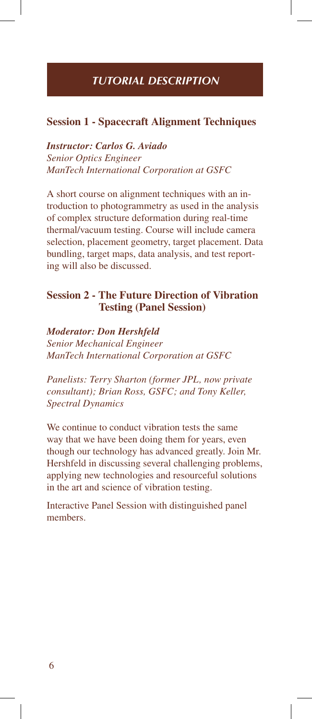### *TUTORIAL DESCRIPTION*

#### **Session 1 - Spacecraft Alignment Techniques**

*Instructor: Carlos G. Aviado Senior Optics Engineer ManTech International Corporation at GSFC*

A short course on alignment techniques with an introduction to photogrammetry as used in the analysis of complex structure deformation during real-time thermal/vacuum testing. Course will include camera selection, placement geometry, target placement. Data bundling, target maps, data analysis, and test reporting will also be discussed.

#### **Session 2 - The Future Direction of Vibration Testing (Panel Session)**

*Moderator: Don Hershfeld Senior Mechanical Engineer ManTech International Corporation at GSFC*

*Panelists: Terry Sharton (former JPL, now private consultant); Brian Ross, GSFC; and Tony Keller, Spectral Dynamics*

We continue to conduct vibration tests the same way that we have been doing them for years, even though our technology has advanced greatly. Join Mr. Hershfeld in discussing several challenging problems, applying new technologies and resourceful solutions in the art and science of vibration testing.

Interactive Panel Session with distinguished panel members.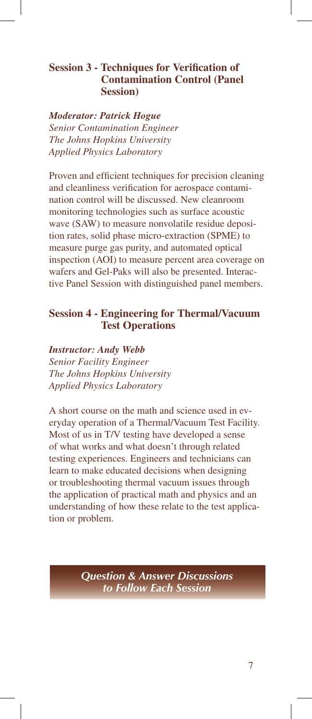#### **Session 3 - Techniques for Verification of Contamination Control (Panel Session)**

*Moderator: Patrick Hogue Senior Contamination Engineer The Johns Hopkins University Applied Physics Laboratory*

Proven and efficient techniques for precision cleaning and cleanliness verification for aerospace contamination control will be discussed. New cleanroom monitoring technologies such as surface acoustic wave (SAW) to measure nonvolatile residue deposition rates, solid phase micro-extraction (SPME) to measure purge gas purity, and automated optical inspection (AOI) to measure percent area coverage on wafers and Gel-Paks will also be presented. Interactive Panel Session with distinguished panel members.

#### **Session 4 - Engineering for Thermal/Vacuum Test Operations**

*Instructor: Andy Webb Senior Facility Engineer The Johns Hopkins University Applied Physics Laboratory*

A short course on the math and science used in everyday operation of a Thermal/Vacuum Test Facility. Most of us in T/V testing have developed a sense of what works and what doesn't through related testing experiences. Engineers and technicians can learn to make educated decisions when designing or troubleshooting thermal vacuum issues through the application of practical math and physics and an understanding of how these relate to the test application or problem.

> *Question & Answer Discussions to Follow Each Session*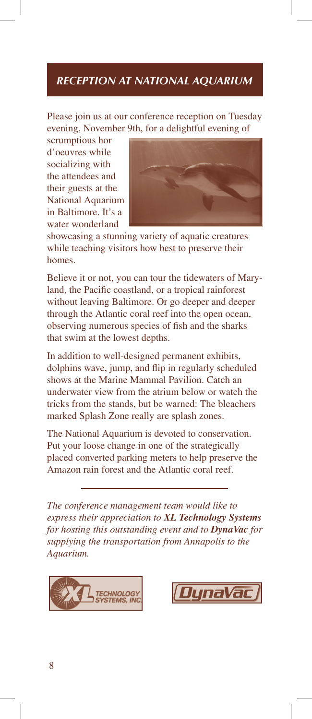### *RECEPTION AT NATIONAL AQUARIUM*

Please join us at our conference reception on Tuesday evening, November 9th, for a delightful evening of

scrumptious hor d'oeuvres while socializing with the attendees and their guests at the National Aquarium in Baltimore. It's a water wonderland



showcasing a stunning variety of aquatic creatures while teaching visitors how best to preserve their homes.

Believe it or not, you can tour the tidewaters of Maryland, the Pacific coastland, or a tropical rainforest without leaving Baltimore. Or go deeper and deeper through the Atlantic coral reef into the open ocean, observing numerous species of fish and the sharks that swim at the lowest depths.

In addition to well-designed permanent exhibits, dolphins wave, jump, and flip in regularly scheduled shows at the Marine Mammal Pavilion. Catch an underwater view from the atrium below or watch the tricks from the stands, but be warned: The bleachers marked Splash Zone really are splash zones.

The National Aquarium is devoted to conservation. Put your loose change in one of the strategically placed converted parking meters to help preserve the Amazon rain forest and the Atlantic coral reef.

*The conference management team would like to express their appreciation to XL Technology Systems for hosting this outstanding event and to DynaVac for supplying the transportation from Annapolis to the Aquarium.*



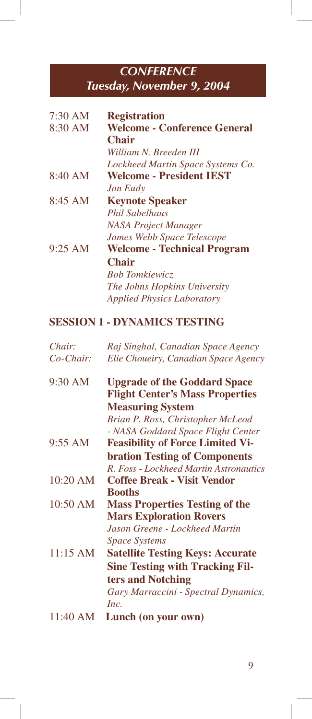# *CONFERENCE Tuesday, November 9, 2004*

| $7:30 \text{ AM}$<br>8:30 AM | <b>Registration</b><br><b>Welcome - Conference General</b><br><b>Chair</b><br>William N. Breeden III<br>Lockheed Martin Space Systems Co. |
|------------------------------|-------------------------------------------------------------------------------------------------------------------------------------------|
| 8:40 AM                      | <b>Welcome - President IEST</b>                                                                                                           |
|                              | Jan Eudy                                                                                                                                  |
| $8:45$ AM                    | <b>Keynote Speaker</b>                                                                                                                    |
|                              | <b>Phil Sabelhaus</b>                                                                                                                     |
|                              | <b>NASA Project Manager</b>                                                                                                               |
|                              | James Webb Space Telescope                                                                                                                |
| $9:25$ AM                    | <b>Welcome - Technical Program</b>                                                                                                        |
|                              | <b>Chair</b>                                                                                                                              |
|                              | <b>Bob Tomkiewicz</b>                                                                                                                     |
|                              | The Johns Hopkins University                                                                                                              |
|                              | <i>Applied Physics Laboratory</i>                                                                                                         |

# **SESSION 1 - DYNAMICS TESTING**

| Chair:    | Raj Singhal, Canadian Space Agency                                            |
|-----------|-------------------------------------------------------------------------------|
| Co-Chair: | Elie Choueiry, Canadian Space Agency                                          |
| 9:30 AM   | <b>Upgrade of the Goddard Space</b><br><b>Flight Center's Mass Properties</b> |
|           | <b>Measuring System</b>                                                       |
|           | Brian P. Ross, Christopher McLeod                                             |
|           | - NASA Goddard Space Flight Center                                            |
| 9:55 AM   | <b>Feasibility of Force Limited Vi-</b>                                       |
|           | <b>bration Testing of Components</b>                                          |
|           | R. Foss - Lockheed Martin Astronautics                                        |
| 10:20 AM  | <b>Coffee Break - Visit Vendor</b>                                            |
|           | <b>Booths</b>                                                                 |
| 10:50 AM  | <b>Mass Properties Testing of the</b>                                         |
|           | <b>Mars Exploration Rovers</b>                                                |
|           | Jason Greene - Lockheed Martin                                                |
|           | <b>Space Systems</b>                                                          |
| 11:15 AM  | <b>Satellite Testing Keys: Accurate</b>                                       |
|           | <b>Sine Testing with Tracking Fil-</b>                                        |
|           | ters and Notching                                                             |
|           | Gary Marraccini - Spectral Dynamics,                                          |
|           | Inc.                                                                          |
| 11:40 AM  | Lunch (on your own)                                                           |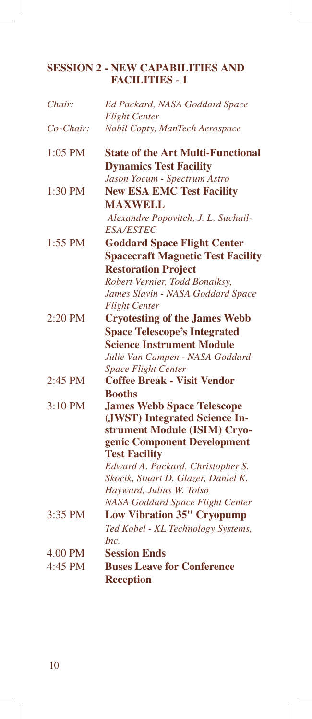### **SESSION 2 - NEW CAPABILITIES AND FACILITIES - 1**

| Chair:       | Ed Packard, NASA Goddard Space             |
|--------------|--------------------------------------------|
|              | <b>Flight Center</b>                       |
| $Co$ -Chair: | Nabil Copty, ManTech Aerospace             |
| 1:05 PM      | <b>State of the Art Multi-Functional</b>   |
|              | <b>Dynamics Test Facility</b>              |
|              | Jason Yocum - Spectrum Astro               |
| 1:30 PM      | <b>New ESA EMC Test Facility</b>           |
|              | <b>MAXWELL</b>                             |
|              | Alexandre Popovitch, J. L. Suchail-        |
|              | <i><b>ESA/ESTEC</b></i>                    |
| 1:55 PM      | <b>Goddard Space Flight Center</b>         |
|              | <b>Spacecraft Magnetic Test Facility</b>   |
|              | <b>Restoration Project</b>                 |
|              | Robert Vernier, Todd Bonalksy,             |
|              | James Slavin - NASA Goddard Space          |
|              | <b>Flight Center</b>                       |
| 2:20 PM      | <b>Cryotesting of the James Webb</b>       |
|              | <b>Space Telescope's Integrated</b>        |
|              | <b>Science Instrument Module</b>           |
|              | Julie Van Campen - NASA Goddard            |
|              | <b>Space Flight Center</b>                 |
| 2:45 PM      | <b>Coffee Break - Visit Vendor</b>         |
|              | <b>Booths</b>                              |
| 3:10 PM      | <b>James Webb Space Telescope</b>          |
|              | (JWST) Integrated Science In-              |
|              | strument Module (ISIM) Cryo-               |
|              | genic Component Development                |
|              | <b>Test Facility</b>                       |
|              | Edward A. Packard, Christopher S.          |
|              | Skocik, Stuart D. Glazer, Daniel K.        |
|              | Hayward, Julius W. Tolso                   |
| 3:35 PM      | NASA Goddard Space Flight Center           |
|              | <b>Low Vibration 35" Cryopump</b>          |
|              | Ted Kobel - XL Technology Systems,<br>Inc. |
| 4.00 PM      | <b>Session Ends</b>                        |
| 4:45 PM      | <b>Buses Leave for Conference</b>          |
|              | <b>Reception</b>                           |
|              |                                            |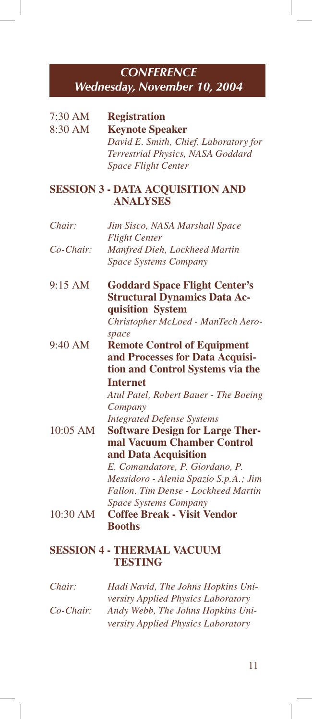# *CONFERENCE Wednesday, November 10, 2004*

| 7:30 AM                                                    | <b>Registration</b>                                 |  |
|------------------------------------------------------------|-----------------------------------------------------|--|
| 8:30 AM                                                    | <b>Keynote Speaker</b>                              |  |
|                                                            | David E. Smith, Chief, Laboratory for               |  |
|                                                            | Terrestrial Physics, NASA Goddard                   |  |
|                                                            | <b>Space Flight Center</b>                          |  |
| <b>SESSION 3 - DATA ACQUISITION AND</b><br><b>ANALYSES</b> |                                                     |  |
| Chair:                                                     | Jim Sisco, NASA Marshall Space                      |  |
|                                                            | <b>Flight Center</b>                                |  |
| Co-Chair:                                                  | Manfred Dieh, Lockheed Martin                       |  |
|                                                            | Space Systems Company                               |  |
| 9:15 AM                                                    | <b>Goddard Space Flight Center's</b>                |  |
|                                                            | <b>Structural Dynamics Data Ac-</b>                 |  |
|                                                            | quisition System                                    |  |
|                                                            | Christopher McLoed - ManTech Aero-                  |  |
| 9:40 AM                                                    | space<br><b>Remote Control of Equipment</b>         |  |
|                                                            | and Processes for Data Acquisi-                     |  |
|                                                            | tion and Control Systems via the                    |  |
|                                                            | <b>Internet</b>                                     |  |
|                                                            | Atul Patel, Robert Bauer - The Boeing               |  |
|                                                            | Company                                             |  |
|                                                            | <b>Integrated Defense Systems</b>                   |  |
| 10:05 AM                                                   | <b>Software Design for Large Ther-</b>              |  |
|                                                            | mal Vacuum Chamber Control                          |  |
|                                                            | and Data Acquisition                                |  |
|                                                            | E. Comandatore, P. Giordano, P.                     |  |
|                                                            | Messidoro - Alenia Spazio S.p.A.; Jim               |  |
|                                                            | Fallon, Tim Dense - Lockheed Martin                 |  |
|                                                            | <b>Space Systems Company</b>                        |  |
| 10:30 AM                                                   | <b>Coffee Break - Visit Vendor</b>                  |  |
|                                                            | <b>Booths</b>                                       |  |
|                                                            | <b>SESSION 4 - THERMAL VACUUM</b><br><b>TESTING</b> |  |
| Chair:                                                     | Hadi Navid, The Johns Hopkins Uni-                  |  |
|                                                            | versity Applied Physics Laboratory                  |  |
| $Co-Chair:$                                                | Andy Webb, The Johns Hopkins Uni-                   |  |
|                                                            | versity Applied Physics Laboratory                  |  |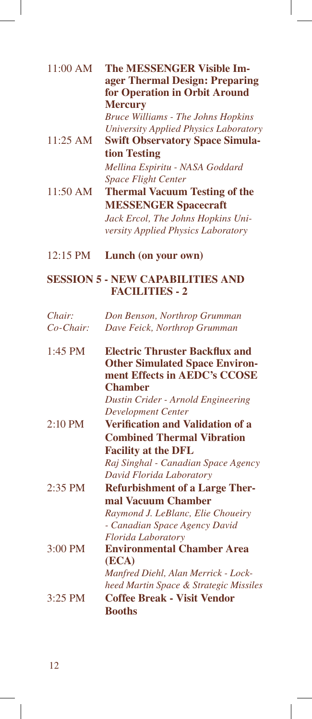| 11:00 AM   | <b>The MESSENGER Visible Im-</b><br>ager Thermal Design: Preparing<br>for Operation in Orbit Around<br><b>Mercury</b><br><b>Bruce Williams - The Johns Hopkins</b> |
|------------|--------------------------------------------------------------------------------------------------------------------------------------------------------------------|
| 11:25 AM   | University Applied Physics Laboratory<br><b>Swift Observatory Space Simula-</b><br>tion Testing                                                                    |
|            | Mellina Espiritu - NASA Goddard<br><b>Space Flight Center</b>                                                                                                      |
| 11:50 AM   | <b>Thermal Vacuum Testing of the</b><br><b>MESSENGER Spacecraft</b>                                                                                                |
|            | Jack Ercol, The Johns Hopkins Uni-                                                                                                                                 |
|            | versity Applied Physics Laboratory                                                                                                                                 |
| 12:15 PM   | Lunch (on your own)                                                                                                                                                |
|            | <b>SESSION 5 - NEW CAPABILITIES AND</b><br><b>FACILITIES - 2</b>                                                                                                   |
| Chair:     | Don Benson, Northrop Grumman                                                                                                                                       |
| $Co-Chair$ | Dave Feick, Northrop Grumman                                                                                                                                       |
| 1:45 PM    | <b>Electric Thruster Backflux and</b><br><b>Other Simulated Space Environ-</b><br>ment Effects in AEDC's CCOSE<br><b>Chamber</b>                                   |
|            | Dustin Crider - Arnold Engineering<br><b>Development Center</b>                                                                                                    |
| 2:10 PM    | <b>Verification and Validation of a</b>                                                                                                                            |
|            | <b>Combined Thermal Vibration</b><br><b>Facility at the DFL</b>                                                                                                    |
|            | Raj Singhal - Canadian Space Agency<br>David Florida Laboratory                                                                                                    |
| $2:35$ PM  | <b>Refurbishment of a Large Ther-</b>                                                                                                                              |
|            | mal Vacuum Chamber<br>Raymond J. LeBlanc, Elie Choueiry                                                                                                            |
|            | - Canadian Space Agency David                                                                                                                                      |
| 3:00 PM    | Florida Laboratory<br><b>Environmental Chamber Area</b><br>(ECA)                                                                                                   |
|            | Manfred Diehl, Alan Merrick - Lock-<br>heed Martin Space & Strategic Missiles                                                                                      |
| 3:25 PM    | <b>Coffee Break - Visit Vendor</b><br><b>Booths</b>                                                                                                                |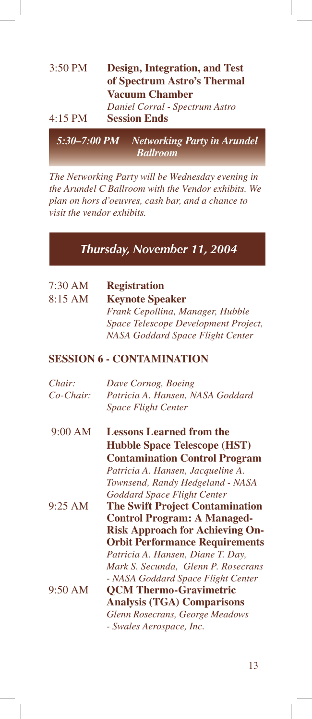| $3:50$ PM | <b>Design, Integration, and Test</b><br>of Spectrum Astro's Thermal<br><b>Vacuum Chamber</b> |
|-----------|----------------------------------------------------------------------------------------------|
| $4:15$ PM | Daniel Corral - Spectrum Astro<br><b>Session Ends</b>                                        |
|           | 5:30-7:00 PM Networking Party in Arundel<br><b>Ballroom</b>                                  |

*The Networking Party will be Wednesday evening in the Arundel C Ballroom with the Vendor exhibits. We plan on hors d'oeuvres, cash bar, and a chance to visit the vendor exhibits.*

# *Thursday, November 11, 2004*

| 7:30 AM      | <b>Registration</b>                    |
|--------------|----------------------------------------|
| 8:15 AM      | <b>Keynote Speaker</b>                 |
|              | Frank Cepollina, Manager, Hubble       |
|              | Space Telescope Development Project,   |
|              | NASA Goddard Space Flight Center       |
|              | <b>SESSION 6 - CONTAMINATION</b>       |
| Chair:       | Dave Cornog, Boeing                    |
| $Co$ -Chair: | Patricia A. Hansen, NASA Goddard       |
|              | <b>Space Flight Center</b>             |
| 9:00 AM      | <b>Lessons Learned from the</b>        |
|              | <b>Hubble Space Telescope (HST)</b>    |
|              | <b>Contamination Control Program</b>   |
|              | Patricia A. Hansen, Jacqueline A.      |
|              | Townsend, Randy Hedgeland - NASA       |
|              | Goddard Space Flight Center            |
| 9:25 AM      | <b>The Swift Project Contamination</b> |
|              | <b>Control Program: A Managed-</b>     |
|              | <b>Risk Approach for Achieving On-</b> |
|              | <b>Orbit Performance Requirements</b>  |
|              | Patricia A. Hansen, Diane T. Day,      |
|              | Mark S. Secunda, Glenn P. Rosecrans    |
|              | - NASA Goddard Space Flight Center     |
| 9:50 AM      | <b>QCM Thermo-Gravimetric</b>          |
|              | <b>Analysis (TGA) Comparisons</b>      |
|              | Glenn Rosecrans, George Meadows        |
|              | - Swales Aerospace, Inc.               |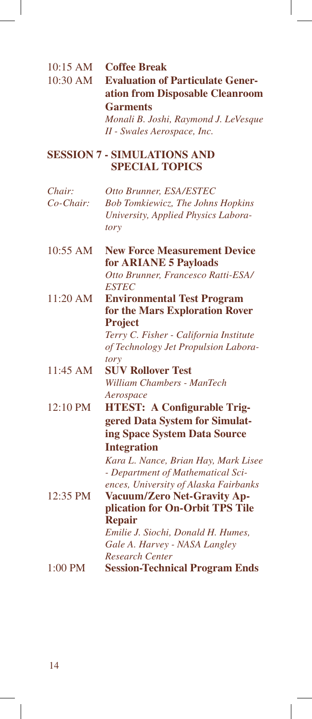| 10:15 AM<br>10:30 AM | <b>Coffee Break</b><br><b>Evaluation of Particulate Gener-</b><br>ation from Disposable Cleanroom<br><b>Garments</b><br>Monali B. Joshi, Raymond J. LeVesque<br>II - Swales Aerospace, Inc.                                 |
|----------------------|-----------------------------------------------------------------------------------------------------------------------------------------------------------------------------------------------------------------------------|
|                      | <b>SESSION 7 - SIMULATIONS AND</b><br><b>SPECIAL TOPICS</b>                                                                                                                                                                 |
| Chair:<br>Co-Chair:  | Otto Brunner, ESA/ESTEC<br><b>Bob Tomkiewicz, The Johns Hopkins</b><br>University, Applied Physics Labora-<br>tory                                                                                                          |
| 10:55 AM             | <b>New Force Measurement Device</b><br>for <b>ARIANE</b> 5 Payloads                                                                                                                                                         |
| 11:20 AM             | Otto Brunner, Francesco Ratti-ESA/<br><b>ESTEC</b><br><b>Environmental Test Program</b><br>for the Mars Exploration Rover<br><b>Project</b>                                                                                 |
|                      | Terry C. Fisher - California Institute<br>of Technology Jet Propulsion Labora-                                                                                                                                              |
| 11:45 AM             | tory<br><b>SUV Rollover Test</b><br>William Chambers - ManTech                                                                                                                                                              |
| 12:10 PM             | Aerospace<br><b>HTEST: A Configurable Trig-</b><br>gered Data System for Simulat-<br>ing Space System Data Source                                                                                                           |
| 12:35 PM             | <b>Integration</b><br>Kara L. Nance, Brian Hay, Mark Lisee<br>- Department of Mathematical Sci-<br>ences, University of Alaska Fairbanks<br>Vacuum/Zero Net-Gravity Ap-<br>plication for On-Orbit TPS Tile<br><b>Repair</b> |
| 1:00 PM              | Emilie J. Siochi, Donald H. Humes,<br>Gale A. Harvey - NASA Langley<br><b>Research Center</b><br><b>Session-Technical Program Ends</b>                                                                                      |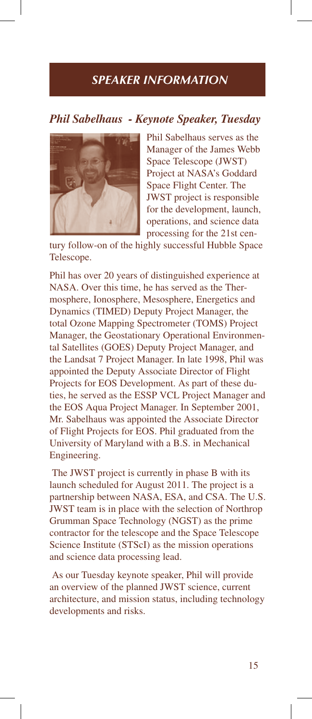# *SPEAKER INFORMATION*

#### *Phil Sabelhaus - Keynote Speaker, Tuesday*



Phil Sabelhaus serves as the Manager of the James Webb Space Telescope (JWST) Project at NASA's Goddard Space Flight Center. The JWST project is responsible for the development, launch, operations, and science data processing for the 21st cen-

tury follow-on of the highly successful Hubble Space Telescope.

Phil has over 20 years of distinguished experience at NASA. Over this time, he has served as the Thermosphere, Ionosphere, Mesosphere, Energetics and Dynamics (TIMED) Deputy Project Manager, the total Ozone Mapping Spectrometer (TOMS) Project Manager, the Geostationary Operational Environmental Satellites (GOES) Deputy Project Manager, and the Landsat 7 Project Manager. In late 1998, Phil was appointed the Deputy Associate Director of Flight Projects for EOS Development. As part of these duties, he served as the ESSP VCL Project Manager and the EOS Aqua Project Manager. In September 2001, Mr. Sabelhaus was appointed the Associate Director of Flight Projects for EOS. Phil graduated from the University of Maryland with a B.S. in Mechanical Engineering.

 The JWST project is currently in phase B with its launch scheduled for August 2011. The project is a partnership between NASA, ESA, and CSA. The U.S. JWST team is in place with the selection of Northrop Grumman Space Technology (NGST) as the prime contractor for the telescope and the Space Telescope Science Institute (STScI) as the mission operations and science data processing lead.

 As our Tuesday keynote speaker, Phil will provide an overview of the planned JWST science, current architecture, and mission status, including technology developments and risks.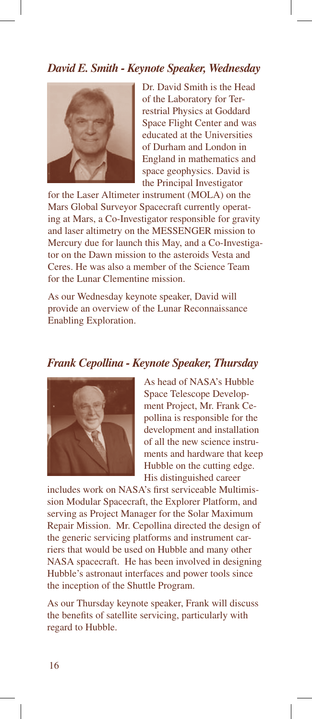### *David E. Smith - Keynote Speaker, Wednesday*



Dr. David Smith is the Head of the Laboratory for Terrestrial Physics at Goddard Space Flight Center and was educated at the Universities of Durham and London in England in mathematics and space geophysics. David is the Principal Investigator

for the Laser Altimeter instrument (MOLA) on the Mars Global Surveyor Spacecraft currently operating at Mars, a Co-Investigator responsible for gravity and laser altimetry on the MESSENGER mission to Mercury due for launch this May, and a Co-Investigator on the Dawn mission to the asteroids Vesta and Ceres. He was also a member of the Science Team for the Lunar Clementine mission.

As our Wednesday keynote speaker, David will provide an overview of the Lunar Reconnaissance Enabling Exploration.

#### *Frank Cepollina - Keynote Speaker, Thursday*



As head of NASA's Hubble Space Telescope Development Project, Mr. Frank Cepollina is responsible for the development and installation of all the new science instruments and hardware that keep Hubble on the cutting edge. His distinguished career

includes work on NASA's first serviceable Multimission Modular Spacecraft, the Explorer Platform, and serving as Project Manager for the Solar Maximum Repair Mission. Mr. Cepollina directed the design of the generic servicing platforms and instrument carriers that would be used on Hubble and many other NASA spacecraft. He has been involved in designing Hubble's astronaut interfaces and power tools since the inception of the Shuttle Program.

As our Thursday keynote speaker, Frank will discuss the benefits of satellite servicing, particularly with regard to Hubble.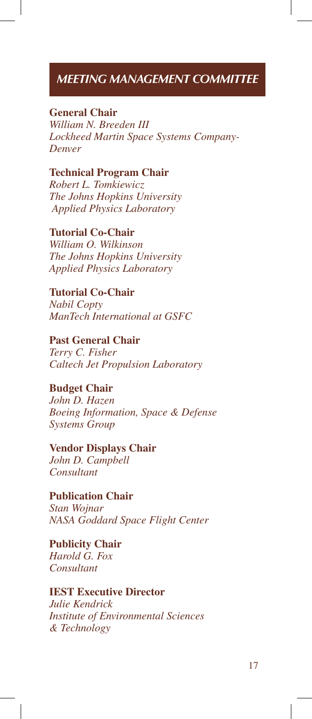# *MEETING MANAGEMENT COMMITTEE*

### **General Chair**

*William N. Breeden III Lockheed Martin Space Systems Company-Denver*

**Technical Program Chair** *Robert L. Tomkiewicz The Johns Hopkins University Applied Physics Laboratory*

**Tutorial Co-Chair** *William O. Wilkinson The Johns Hopkins University Applied Physics Laboratory*

**Tutorial Co-Chair** *Nabil Copty ManTech International at GSFC*

**Past General Chair** *Terry C. Fisher Caltech Jet Propulsion Laboratory*

### **Budget Chair**

*John D. Hazen Boeing Information, Space & Defense Systems Group*

#### **Vendor Displays Chair**

*John D. Campbell Consultant*

**Publication Chair** *Stan Wojnar*

*NASA Goddard Space Flight Center*

**Publicity Chair** *Harold G. Fox Consultant*

#### **IEST Executive Director**

*Julie Kendrick Institute of Environmental Sciences & Technology*